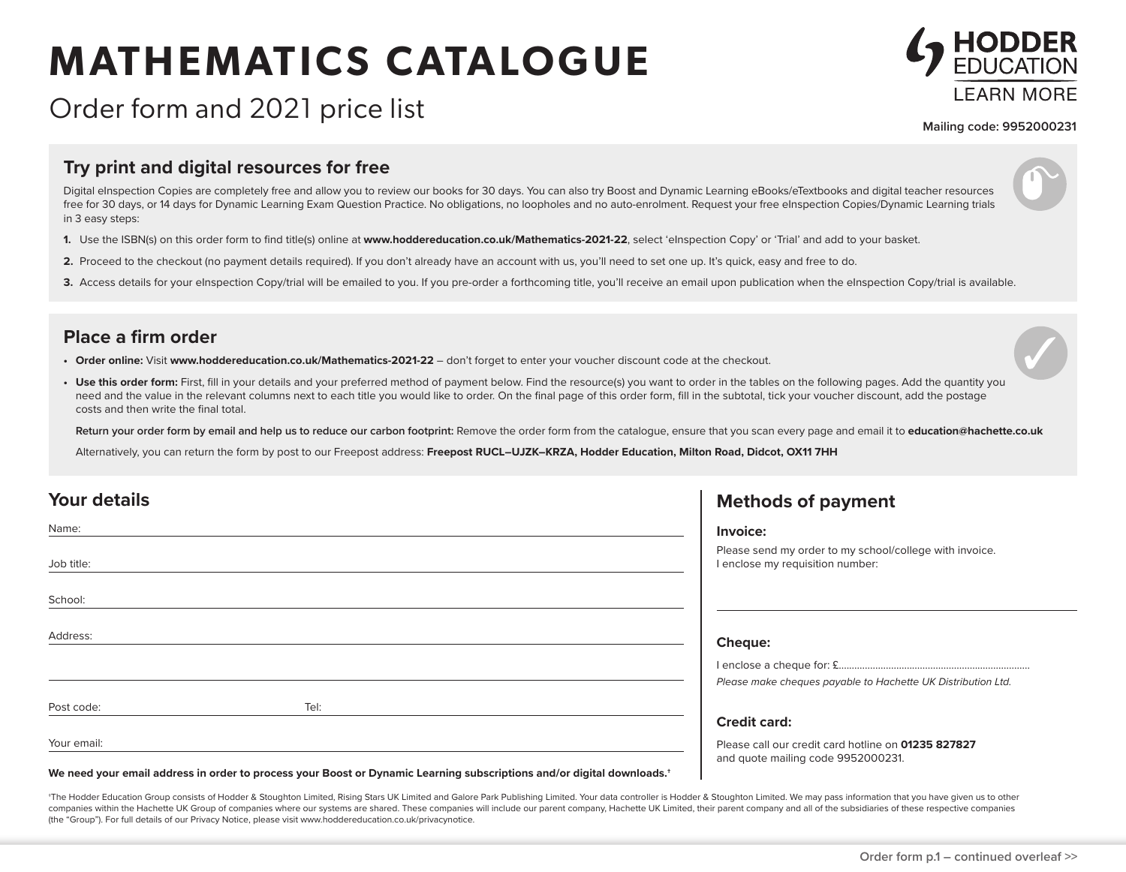# **MATHEMATICS CATALOGUE**



## Order form and 2021 price list

**Mailing code: 9952000231**

#### **Try print and digital resources for free**

Digital eInspection Copies are completely free and allow you to review our books for 30 days. You can also try Boost and Dynamic Learning eBooks/eTextbooks and digital teacher resources free for 30 days, or 14 days for Dynamic Learning Exam Question Practice. No obligations, no loopholes and no auto-enrolment. Request your free eInspection Copies/Dynamic Learning trials in 3 easy steps:

- **1.** Use the ISBN(s) on this order form to find title(s) online at **www.hoddereducation.co.uk/Mathematics-2021-22**, select 'eInspection Copy' or 'Trial' and add to your basket.
- **2.** Proceed to the checkout (no payment details required). If you don't already have an account with us, you'll need to set one up. It's quick, easy and free to do.
- 3. Access details for your eInspection Copy/trial will be emailed to you. If you pre-order a forthcoming title, you'll receive an email upon publication when the eInspection Copy/trial is available.

#### **Place a firm order**

- **• Order online:** Visit **www.hoddereducation.co.uk/Mathematics-2021-22** don't forget to enter your voucher discount code at the checkout.
- Use this order form: First, fill in your details and your preferred method of payment below. Find the resource(s) you want to order in the tables on the following pages. Add the quantity you need and the value in the relevant columns next to each title you would like to order. On the final page of this order form, fill in the subtotal, tick your voucher discount, add the postage costs and then write the final total.

**Return your order form by email and help us to reduce our carbon footprint:** Remove the order form from the catalogue, ensure that you scan every page and email it to **education@hachette.co.uk**

Alternatively, you can return the form by post to our Freepost address: Freepost RUCL-UJZK-KRZA, Hodder Education, Milton Road, Didcot, OX11 7HH

| Your details |      | <b>Methods of payment</b>                                                                   |
|--------------|------|---------------------------------------------------------------------------------------------|
| Name:        |      | Invoice:                                                                                    |
| Job title:   |      | Please send my order to my school/college with invoice.<br>I enclose my requisition number: |
| School:      |      |                                                                                             |
| Address:     |      | Cheque:                                                                                     |
|              |      |                                                                                             |
|              |      | Please make cheques payable to Hachette UK Distribution Ltd.                                |
| Post code:   | Tel: |                                                                                             |
|              |      | <b>Credit card:</b>                                                                         |
| Your email:  |      | Please call our credit card hotline on 01235 827827<br>and quote mailing code 9952000231.   |
|              |      |                                                                                             |

**We need your email address in order to process your Boost or Dynamic Learning subscriptions and/or digital downloads.†**

\*The Hodder Education Group consists of Hodder & Stoughton Limited, Rising Stars UK Limited and Galore Park Publishing Limited. Your data controller is Hodder & Stoughton Limited. We may pass information that vou have give companies within the Hachette UK Group of companies where our systems are shared. These companies will include our parent company, Hachette UK Limited, their parent company and all of the subsidiaries of these respective c (the "Group"). For full details of our Privacy Notice, please visit www.hoddereducation.co.uk/privacynotice.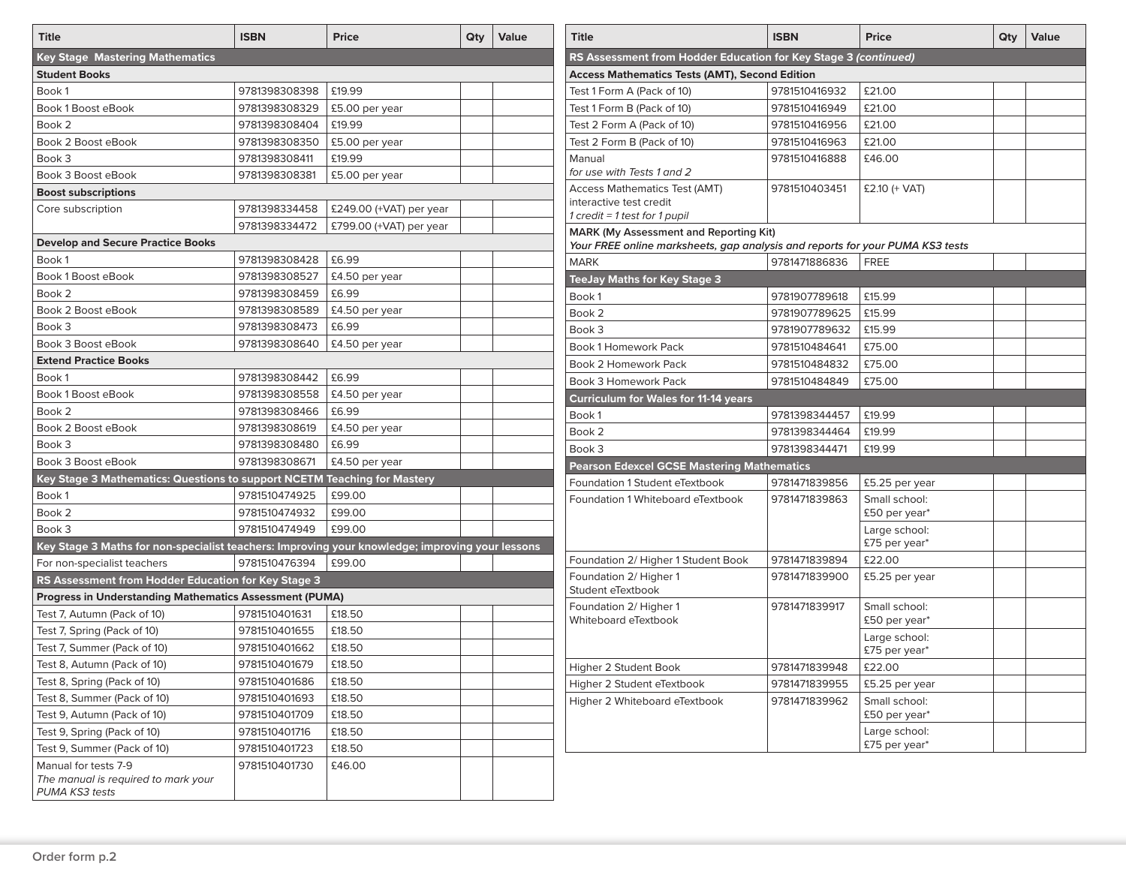| <b>Title</b>                                                                                    | <b>ISBN</b>   | Price                   | Qty | Value | <b>Title</b>                                                                                                                   | <b>ISBN</b>                    | <b>Price</b>   |
|-------------------------------------------------------------------------------------------------|---------------|-------------------------|-----|-------|--------------------------------------------------------------------------------------------------------------------------------|--------------------------------|----------------|
| <b>Key Stage Mastering Mathematics</b>                                                          |               |                         |     |       | RS Assessment from Hodder Education for Key Stage 3 (continued)                                                                |                                |                |
| <b>Student Books</b>                                                                            |               |                         |     |       | <b>Access Mathematics Tests (AMT), Second Edition</b>                                                                          |                                |                |
| Book 1                                                                                          | 9781398308398 | £19.99                  |     |       | Test 1 Form A (Pack of 10)                                                                                                     | 9781510416932                  | £21.00         |
| Book 1 Boost eBook                                                                              | 9781398308329 | £5.00 per year          |     |       | Test 1 Form B (Pack of 10)                                                                                                     | 9781510416949                  | £21.00         |
| Book 2                                                                                          | 9781398308404 | £19.99                  |     |       | Test 2 Form A (Pack of 10)                                                                                                     | 9781510416956                  | £21.00         |
| Book 2 Boost eBook                                                                              | 9781398308350 | £5.00 per year          |     |       | Test 2 Form B (Pack of 10)                                                                                                     | 9781510416963                  | £21.00         |
| Book 3                                                                                          | 9781398308411 | £19.99                  |     |       | Manual                                                                                                                         | 9781510416888                  | £46.00         |
| Book 3 Boost eBook                                                                              | 9781398308381 | £5.00 per year          |     |       | for use with Tests 1 and 2                                                                                                     |                                |                |
| <b>Boost subscriptions</b>                                                                      |               |                         |     |       | <b>Access Mathematics Test (AMT)</b>                                                                                           | 9781510403451                  | £2.10 (+ VAT)  |
| Core subscription                                                                               | 9781398334458 | £249.00 (+VAT) per year |     |       | interactive test credit                                                                                                        |                                |                |
|                                                                                                 | 9781398334472 | £799.00 (+VAT) per year |     |       | 1 credit = 1 test for 1 pupil                                                                                                  |                                |                |
| <b>Develop and Secure Practice Books</b>                                                        |               |                         |     |       | <b>MARK (My Assessment and Reporting Kit)</b><br>Your FREE online marksheets, gap analysis and reports for your PUMA KS3 tests |                                |                |
| Book 1                                                                                          | 9781398308428 | £6.99                   |     |       | <b>MARK</b>                                                                                                                    | 9781471886836                  | FREE           |
| Book 1 Boost eBook                                                                              | 9781398308527 | £4.50 per year          |     |       | <b>TeeJay Maths for Key Stage 3</b>                                                                                            |                                |                |
| Book 2                                                                                          | 9781398308459 | £6.99                   |     |       |                                                                                                                                |                                |                |
| Book 2 Boost eBook                                                                              | 9781398308589 | £4.50 per year          |     |       | Book 1                                                                                                                         | 9781907789618                  | £15.99         |
| Book 3                                                                                          | 9781398308473 | £6.99                   |     |       | Book 2                                                                                                                         | 9781907789625                  | £15.99         |
| Book 3 Boost eBook                                                                              | 9781398308640 | £4.50 per year          |     |       | Book 3                                                                                                                         | 9781907789632                  | £15.99         |
| <b>Extend Practice Books</b>                                                                    |               |                         |     |       | <b>Book 1 Homework Pack</b>                                                                                                    | 9781510484641                  | £75.00         |
| Book 1                                                                                          | 9781398308442 | £6.99                   |     |       | Book 2 Homework Pack                                                                                                           | 9781510484832                  | £75.00         |
| Book 1 Boost eBook                                                                              | 9781398308558 | £4.50 per year          |     |       | <b>Book 3 Homework Pack</b>                                                                                                    | 9781510484849                  | £75.00         |
| Book 2                                                                                          | 9781398308466 | £6.99                   |     |       | <b>Curriculum for Wales for 11-14 years</b>                                                                                    |                                |                |
|                                                                                                 |               |                         |     |       | Book 1                                                                                                                         | 9781398344457                  | £19.99         |
| Book 2 Boost eBook                                                                              | 9781398308619 | £4.50 per year          |     |       | Book 2                                                                                                                         | 9781398344464                  | £19.99         |
| Book 3                                                                                          | 9781398308480 | £6.99                   |     |       | Book 3                                                                                                                         | 9781398344471                  | £19.99         |
| Book 3 Boost eBook                                                                              | 9781398308671 | £4.50 per year          |     |       | <b>Pearson Edexcel GCSE Mastering Mathematics</b>                                                                              |                                |                |
| Key Stage 3 Mathematics: Questions to support NCETM Teaching for Mastery                        |               |                         |     |       | Foundation 1 Student eTextbook                                                                                                 | 9781471839856                  | £5.25 per year |
| Book 1                                                                                          | 9781510474925 | £99.00                  |     |       | Foundation 1 Whiteboard eTextbook                                                                                              | 9781471839863                  | Small school:  |
| Book 2                                                                                          | 9781510474932 | £99.00                  |     |       |                                                                                                                                |                                | £50 per year*  |
| Book 3                                                                                          | 9781510474949 | £99.00                  |     |       |                                                                                                                                |                                | Large school:  |
| Key Stage 3 Maths for non-specialist teachers: Improving your knowledge; improving your lessons |               |                         |     |       |                                                                                                                                |                                | £75 per year*  |
| For non-specialist teachers                                                                     | 9781510476394 | £99.00                  |     |       | Foundation 2/ Higher 1 Student Book<br>Foundation 2/ Higher 1                                                                  | 9781471839894<br>9781471839900 | £22.00         |
| RS Assessment from Hodder Education for Key Stage 3                                             |               |                         |     |       | Student eTextbook                                                                                                              |                                | £5.25 per year |
| <b>Progress in Understanding Mathematics Assessment (PUMA)</b>                                  |               |                         |     |       | Foundation 2/ Higher 1                                                                                                         | 9781471839917                  | Small school:  |
| Test 7, Autumn (Pack of 10)                                                                     | 9781510401631 | £18.50                  |     |       | Whiteboard eTextbook                                                                                                           |                                | £50 per year*  |
| Test 7, Spring (Pack of 10)                                                                     | 9781510401655 | £18.50                  |     |       |                                                                                                                                |                                | Large school:  |
| Test 7, Summer (Pack of 10)                                                                     | 9781510401662 | £18.50                  |     |       |                                                                                                                                |                                | £75 per year*  |
| Test 8, Autumn (Pack of 10)                                                                     | 9781510401679 | £18.50                  |     |       | Higher 2 Student Book                                                                                                          | 9781471839948                  | £22.00         |
| Test 8, Spring (Pack of 10)                                                                     | 9781510401686 | £18.50                  |     |       | Higher 2 Student eTextbook                                                                                                     | 9781471839955                  | £5.25 per year |
| Test 8, Summer (Pack of 10)                                                                     | 9781510401693 | £18.50                  |     |       | Higher 2 Whiteboard eTextbook                                                                                                  | 9781471839962                  | Small school:  |
| Test 9, Autumn (Pack of 10)                                                                     | 9781510401709 | £18.50                  |     |       |                                                                                                                                |                                | £50 per year*  |
| Test 9, Spring (Pack of 10)                                                                     | 9781510401716 | £18.50                  |     |       |                                                                                                                                |                                | Large school:  |
| Test 9, Summer (Pack of 10)                                                                     | 9781510401723 | £18.50                  |     |       |                                                                                                                                |                                | £75 per year*  |
| Manual for tests 7-9<br>The manual is required to mark your<br>PUMA KS3 tests                   | 9781510401730 | £46.00                  |     |       |                                                                                                                                |                                |                |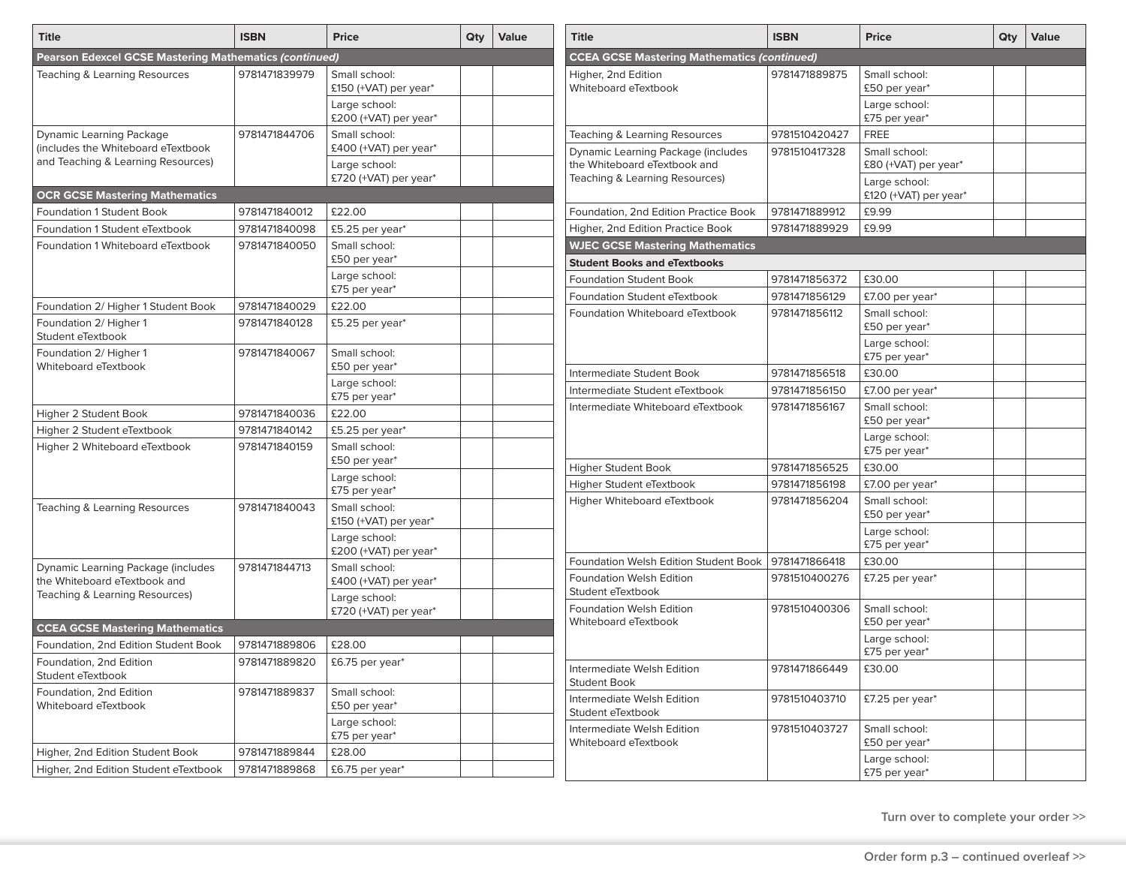| <b>Title</b>                                                             | <b>ISBN</b>   | <b>Price</b>                           | Qty | Value | <b>Title</b>                                                       | <b>ISBN</b>   | <b>Price</b>                          | Qty | Value |
|--------------------------------------------------------------------------|---------------|----------------------------------------|-----|-------|--------------------------------------------------------------------|---------------|---------------------------------------|-----|-------|
| <b>Pearson Edexcel GCSE Mastering Mathematics (continued)</b>            |               |                                        |     |       | <b>CCEA GCSE Mastering Mathematics (continued)</b>                 |               |                                       |     |       |
| Teaching & Learning Resources                                            | 9781471839979 | Small school:<br>£150 (+VAT) per year* |     |       | Higher, 2nd Edition<br>Whiteboard eTextbook                        | 9781471889875 | Small school:<br>£50 per year*        |     |       |
|                                                                          |               | Large school:<br>£200 (+VAT) per year* |     |       |                                                                    |               | Large school:<br>£75 per year*        |     |       |
| <b>Dynamic Learning Package</b>                                          | 9781471844706 | Small school:                          |     |       | Teaching & Learning Resources                                      | 9781510420427 | <b>FREE</b>                           |     |       |
| (includes the Whiteboard eTextbook<br>and Teaching & Learning Resources) |               | £400 (+VAT) per year*<br>Large school: |     |       | Dynamic Learning Package (includes<br>the Whiteboard eTextbook and | 9781510417328 | Small school:<br>£80 (+VAT) per year* |     |       |
|                                                                          |               | £720 (+VAT) per year*                  |     |       | Teaching & Learning Resources)                                     |               | Large school:                         |     |       |
| <b>OCR GCSE Mastering Mathematics</b>                                    |               |                                        |     |       |                                                                    |               | £120 (+VAT) per year*                 |     |       |
| <b>Foundation 1 Student Book</b>                                         | 9781471840012 | £22.00                                 |     |       | Foundation, 2nd Edition Practice Book                              | 9781471889912 | £9.99                                 |     |       |
| Foundation 1 Student eTextbook                                           | 9781471840098 | £5.25 per year*                        |     |       | Higher, 2nd Edition Practice Book                                  | 9781471889929 | £9.99                                 |     |       |
| Foundation 1 Whiteboard eTextbook                                        | 9781471840050 | Small school:<br>£50 per year*         |     |       | <b>WJEC GCSE Mastering Mathematics</b>                             |               |                                       |     |       |
|                                                                          |               | Large school:                          |     |       | <b>Student Books and eTextbooks</b>                                | 9781471856372 | £30.00                                |     |       |
|                                                                          |               | £75 per year*                          |     |       | <b>Foundation Student Book</b>                                     |               |                                       |     |       |
| Foundation 2/ Higher 1 Student Book                                      | 9781471840029 | £22.00                                 |     |       | Foundation Student eTextbook                                       | 9781471856129 | £7.00 per year*                       |     |       |
| Foundation 2/ Higher 1<br>Student eTextbook                              | 9781471840128 | £5.25 per year*                        |     |       | Foundation Whiteboard eTextbook                                    | 9781471856112 | Small school:<br>£50 per year*        |     |       |
| Foundation 2/ Higher 1                                                   | 9781471840067 | Small school:                          |     |       |                                                                    |               | Large school:<br>£75 per year*        |     |       |
| Whiteboard eTextbook                                                     |               | £50 per year*                          |     |       | Intermediate Student Book                                          | 9781471856518 | £30.00                                |     |       |
|                                                                          |               | Large school:<br>£75 per year*         |     |       | Intermediate Student eTextbook                                     | 9781471856150 | £7.00 per year*                       |     |       |
| Higher 2 Student Book                                                    | 9781471840036 | £22.00                                 |     |       | Intermediate Whiteboard eTextbook                                  | 9781471856167 | Small school:                         |     |       |
| Higher 2 Student eTextbook                                               | 9781471840142 | £5.25 per year*                        |     |       |                                                                    |               | £50 per year*                         |     |       |
| Higher 2 Whiteboard eTextbook                                            | 9781471840159 | Small school:<br>£50 per year*         |     |       |                                                                    |               | Large school:<br>£75 per year*        |     |       |
|                                                                          |               | Large school:                          |     |       | Higher Student Book                                                | 9781471856525 | £30.00                                |     |       |
|                                                                          |               | £75 per year*                          |     |       | Higher Student eTextbook                                           | 9781471856198 | £7.00 per year*                       |     |       |
| Teaching & Learning Resources                                            | 9781471840043 | Small school:<br>£150 (+VAT) per year* |     |       | Higher Whiteboard eTextbook                                        | 9781471856204 | Small school:<br>£50 per year*        |     |       |
|                                                                          |               | Large school:                          |     |       |                                                                    |               | Large school:<br>£75 per year*        |     |       |
|                                                                          |               | £200 (+VAT) per year*                  |     |       | Foundation Welsh Edition Student Book                              | 9781471866418 | £30.00                                |     |       |
| Dynamic Learning Package (includes<br>the Whiteboard eTextbook and       | 9781471844713 | Small school:<br>£400 (+VAT) per year* |     |       | <b>Foundation Welsh Edition</b><br>Student eTextbook               | 9781510400276 | £7.25 per year*                       |     |       |
| Teaching & Learning Resources)                                           |               | Large school:<br>£720 (+VAT) per year* |     |       | <b>Foundation Welsh Edition</b>                                    | 9781510400306 | Small school:                         |     |       |
| <b>CCEA GCSE Mastering Mathematics</b>                                   |               |                                        |     |       | Whiteboard eTextbook                                               |               | £50 per year*                         |     |       |
| Foundation, 2nd Edition Student Book                                     | 9781471889806 | £28.00                                 |     |       |                                                                    |               | Large school:<br>£75 per year*        |     |       |
| Foundation, 2nd Edition<br>Student eTextbook                             | 9781471889820 | £6.75 per year*                        |     |       | Intermediate Welsh Edition<br><b>Student Book</b>                  | 9781471866449 | £30.00                                |     |       |
| Foundation, 2nd Edition<br>Whiteboard eTextbook                          | 9781471889837 | Small school:<br>£50 per year*         |     |       | Intermediate Welsh Edition<br>Student eTextbook                    | 9781510403710 | £7.25 per year*                       |     |       |
|                                                                          |               | Large school:<br>£75 per year*         |     |       | Intermediate Welsh Edition                                         | 9781510403727 | Small school:                         |     |       |
| Higher, 2nd Edition Student Book                                         | 9781471889844 | £28.00                                 |     |       | Whiteboard eTextbook                                               |               | £50 per year*                         |     |       |
| Higher, 2nd Edition Student eTextbook                                    | 9781471889868 | £6.75 per year*                        |     |       |                                                                    |               | Large school:<br>£75 per year*        |     |       |

**Turn over to complete your order >>**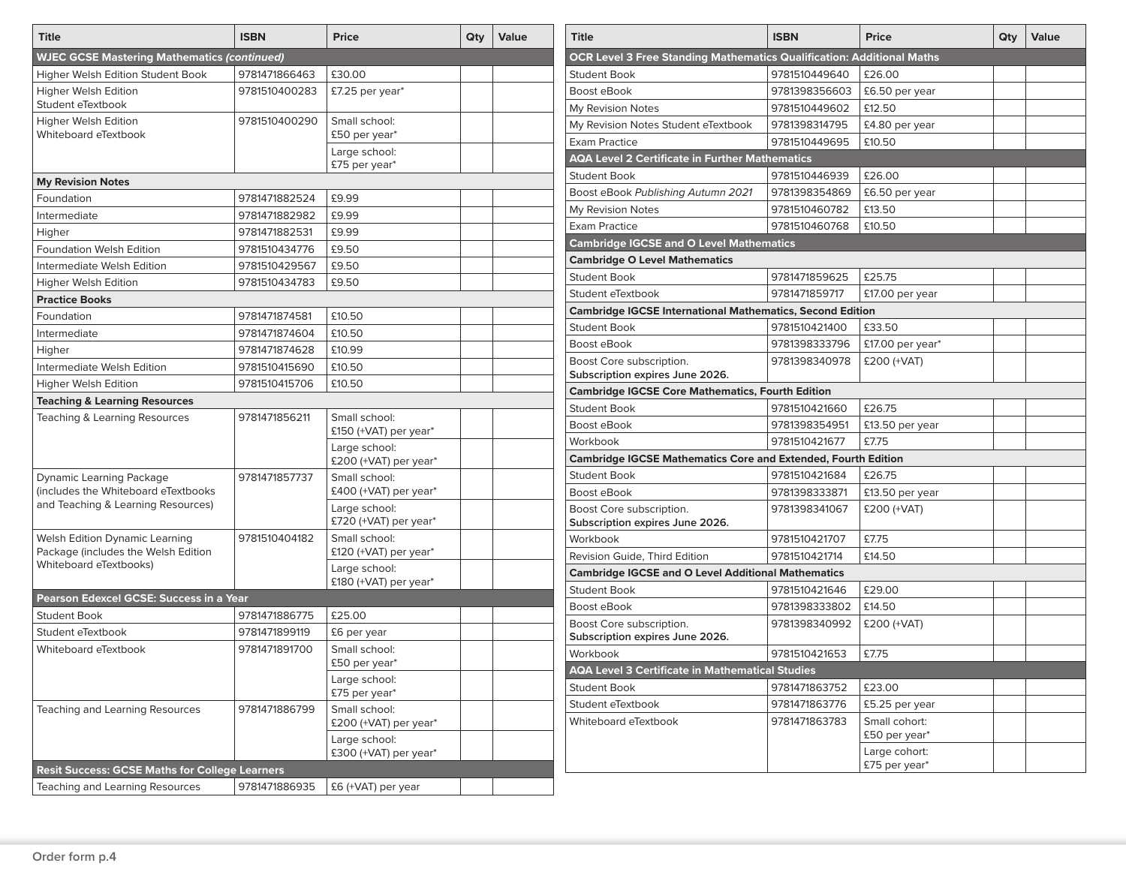| <b>Title</b>                                          | <b>ISBN</b>   | Price                                  | Qty | Value | <b>Title</b>                                                                 | <b>ISBN</b>   | <b>Price</b>                   | Qty | Value |
|-------------------------------------------------------|---------------|----------------------------------------|-----|-------|------------------------------------------------------------------------------|---------------|--------------------------------|-----|-------|
| <b>WJEC GCSE Mastering Mathematics (continued)</b>    |               |                                        |     |       | <b>OCR Level 3 Free Standing Mathematics Qualification: Additional Maths</b> |               |                                |     |       |
| Higher Welsh Edition Student Book                     | 9781471866463 | £30.00                                 |     |       | <b>Student Book</b>                                                          | 9781510449640 | £26.00                         |     |       |
| <b>Higher Welsh Edition</b>                           | 9781510400283 | £7.25 per year*                        |     |       | Boost eBook                                                                  | 9781398356603 | £6.50 per year                 |     |       |
| Student eTextbook                                     |               |                                        |     |       | My Revision Notes                                                            | 9781510449602 | £12.50                         |     |       |
| <b>Higher Welsh Edition</b>                           | 9781510400290 | Small school:                          |     |       | My Revision Notes Student eTextbook                                          | 9781398314795 | £4.80 per year                 |     |       |
| Whiteboard eTextbook                                  |               | £50 per year*                          |     |       | <b>Exam Practice</b>                                                         | 9781510449695 | £10.50                         |     |       |
|                                                       |               | Large school:<br>£75 per year*         |     |       | <b>AQA Level 2 Certificate in Further Mathematics</b>                        |               |                                |     |       |
| <b>My Revision Notes</b>                              |               |                                        |     |       | <b>Student Book</b>                                                          | 9781510446939 | £26.00                         |     |       |
| Foundation                                            | 9781471882524 | £9.99                                  |     |       | Boost eBook Publishing Autumn 2021                                           | 9781398354869 | £6.50 per year                 |     |       |
| Intermediate                                          | 9781471882982 | £9.99                                  |     |       | My Revision Notes                                                            | 9781510460782 | £13.50                         |     |       |
| Higher                                                | 9781471882531 | £9.99                                  |     |       | <b>Exam Practice</b>                                                         | 9781510460768 | £10.50                         |     |       |
| <b>Foundation Welsh Edition</b>                       | 9781510434776 | £9.50                                  |     |       | <b>Cambridge IGCSE and O Level Mathematics</b>                               |               |                                |     |       |
| Intermediate Welsh Edition                            | 9781510429567 | £9.50                                  |     |       | <b>Cambridge O Level Mathematics</b>                                         |               |                                |     |       |
| <b>Higher Welsh Edition</b>                           | 9781510434783 | £9.50                                  |     |       | <b>Student Book</b>                                                          | 9781471859625 | £25.75                         |     |       |
| <b>Practice Books</b>                                 |               |                                        |     |       | Student eTextbook                                                            | 9781471859717 | £17.00 per year                |     |       |
| Foundation                                            | 9781471874581 | £10.50                                 |     |       | <b>Cambridge IGCSE International Mathematics, Second Edition</b>             |               |                                |     |       |
| Intermediate                                          | 9781471874604 | £10.50                                 |     |       | <b>Student Book</b>                                                          | 9781510421400 | £33.50                         |     |       |
| Higher                                                | 9781471874628 | £10.99                                 |     |       | Boost eBook                                                                  | 9781398333796 | £17.00 per year*               |     |       |
| Intermediate Welsh Edition                            | 9781510415690 | £10.50                                 |     |       | Boost Core subscription.                                                     | 9781398340978 | £200 (+VAT)                    |     |       |
| <b>Higher Welsh Edition</b>                           | 9781510415706 | £10.50                                 |     |       | Subscription expires June 2026.                                              |               |                                |     |       |
|                                                       |               |                                        |     |       | <b>Cambridge IGCSE Core Mathematics, Fourth Edition</b>                      |               |                                |     |       |
| <b>Teaching &amp; Learning Resources</b>              | 9781471856211 | Small school:                          |     |       | <b>Student Book</b>                                                          | 9781510421660 | £26.75                         |     |       |
| Teaching & Learning Resources                         |               | £150 (+VAT) per year*                  |     |       | Boost eBook                                                                  | 9781398354951 | £13.50 per year                |     |       |
|                                                       |               | Large school:                          |     |       | Workbook                                                                     | 9781510421677 | £7.75                          |     |       |
|                                                       |               | £200 (+VAT) per year*                  |     |       | <b>Cambridge IGCSE Mathematics Core and Extended, Fourth Edition</b>         |               |                                |     |       |
| <b>Dynamic Learning Package</b>                       | 9781471857737 | Small school:                          |     |       | <b>Student Book</b>                                                          | 9781510421684 | £26.75                         |     |       |
| (includes the Whiteboard eTextbooks                   |               | £400 (+VAT) per year*                  |     |       | Boost eBook                                                                  | 9781398333871 | £13.50 per year                |     |       |
| and Teaching & Learning Resources)                    |               | Large school:<br>£720 (+VAT) per year* |     |       | Boost Core subscription.<br>Subscription expires June 2026.                  | 9781398341067 | £200 (+VAT)                    |     |       |
| <b>Welsh Edition Dynamic Learning</b>                 | 9781510404182 | Small school:                          |     |       | Workbook                                                                     | 9781510421707 | £7.75                          |     |       |
| Package (includes the Welsh Edition                   |               | £120 (+VAT) per year*                  |     |       | Revision Guide, Third Edition                                                | 9781510421714 | £14.50                         |     |       |
| Whiteboard eTextbooks)                                |               | Large school:                          |     |       | <b>Cambridge IGCSE and O Level Additional Mathematics</b>                    |               |                                |     |       |
|                                                       |               | £180 (+VAT) per year*                  |     |       | <b>Student Book</b>                                                          | 9781510421646 | £29.00                         |     |       |
| Pearson Edexcel GCSE: Success in a Year               |               |                                        |     |       | Boost eBook                                                                  | 9781398333802 | £14.50                         |     |       |
| <b>Student Book</b>                                   | 9781471886775 | £25.00                                 |     |       | Boost Core subscription.                                                     | 9781398340992 | £200 (+VAT)                    |     |       |
| Student eTextbook                                     | 9781471899119 | £6 per year                            |     |       | Subscription expires June 2026.                                              |               |                                |     |       |
| Whiteboard eTextbook                                  | 9781471891700 | Small school:<br>£50 per year*         |     |       | Workbook                                                                     | 9781510421653 | £7.75                          |     |       |
|                                                       |               | Large school:                          |     |       | <b>AQA Level 3 Certificate in Mathematical Studies</b>                       |               |                                |     |       |
|                                                       |               | £75 per year*                          |     |       | <b>Student Book</b>                                                          | 9781471863752 | £23.00                         |     |       |
| <b>Teaching and Learning Resources</b>                | 9781471886799 | Small school:                          |     |       | Student eTextbook                                                            | 9781471863776 | £5.25 per year                 |     |       |
|                                                       |               | £200 (+VAT) per year*<br>Large school: |     |       | Whiteboard eTextbook                                                         | 9781471863783 | Small cohort:<br>£50 per year* |     |       |
|                                                       |               | £300 (+VAT) per year*                  |     |       |                                                                              |               | Large cohort:<br>£75 per year* |     |       |
| <b>Resit Success: GCSE Maths for College Learners</b> |               |                                        |     |       |                                                                              |               |                                |     |       |
| Teaching and Learning Resources                       | 9781471886935 | £6 (+VAT) per year                     |     |       |                                                                              |               |                                |     |       |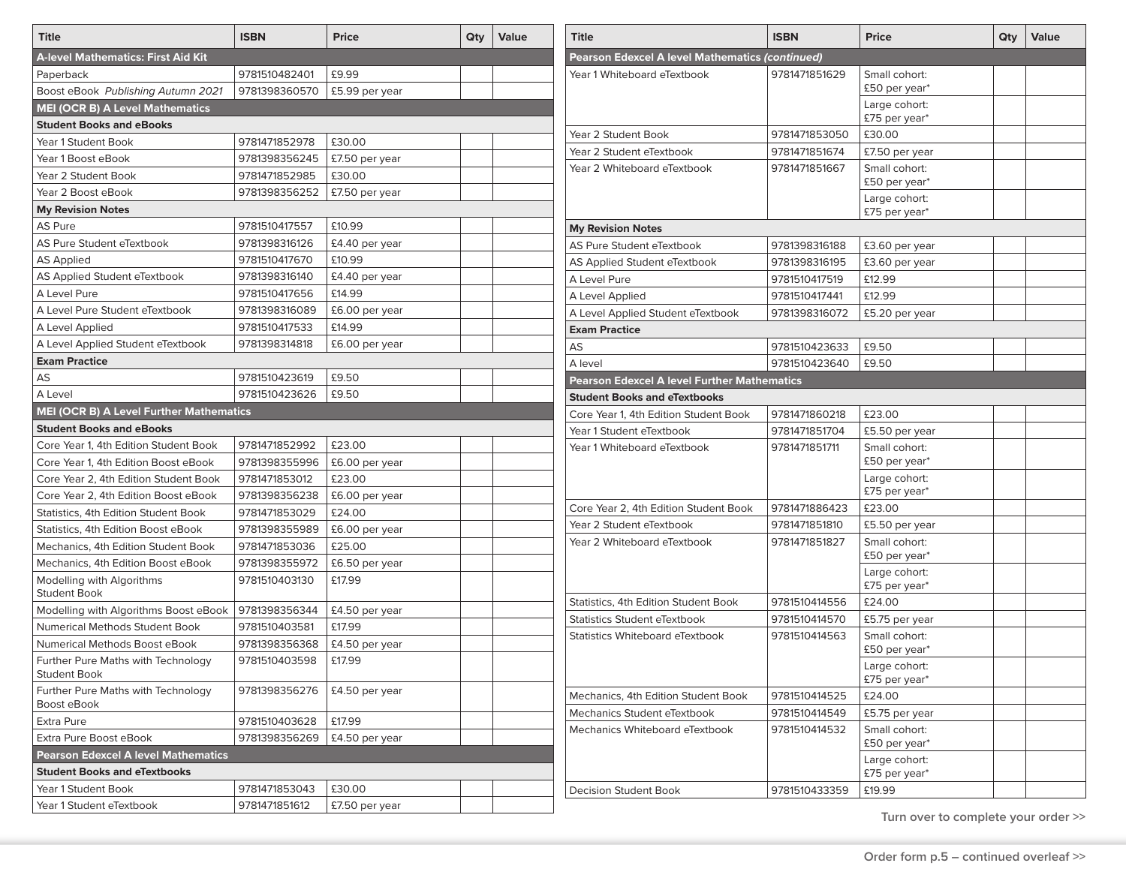| <b>Title</b>                                      | <b>ISBN</b>   | <b>Price</b>   | Qty | <b>Value</b> |
|---------------------------------------------------|---------------|----------------|-----|--------------|
| A-level Mathematics: First Aid Kit                |               |                |     |              |
| Paperback                                         | 9781510482401 | £9.99          |     |              |
| Boost eBook Publishing Autumn 2021                | 9781398360570 | £5.99 per year |     |              |
| <b>MEI (OCR B) A Level Mathematics</b>            |               |                |     |              |
| <b>Student Books and eBooks</b>                   |               |                |     |              |
| Year 1 Student Book                               | 9781471852978 | £30.00         |     |              |
| Year 1 Boost eBook                                | 9781398356245 | £7.50 per year |     |              |
| Year 2 Student Book                               | 9781471852985 | £30.00         |     |              |
| Year 2 Boost eBook                                | 9781398356252 | £7.50 per year |     |              |
| <b>My Revision Notes</b>                          |               |                |     |              |
| AS Pure                                           | 9781510417557 | £10.99         |     |              |
| AS Pure Student eTextbook                         | 9781398316126 | £4.40 per year |     |              |
| <b>AS Applied</b>                                 | 9781510417670 | £10.99         |     |              |
| AS Applied Student eTextbook                      | 9781398316140 | £4.40 per year |     |              |
| A Level Pure                                      | 9781510417656 | £14.99         |     |              |
| A Level Pure Student eTextbook                    | 9781398316089 | £6.00 per year |     |              |
| A Level Applied                                   | 9781510417533 | £14.99         |     |              |
| A Level Applied Student eTextbook                 | 9781398314818 | £6.00 per year |     |              |
| <b>Exam Practice</b>                              |               |                |     |              |
| AS                                                | 9781510423619 | £9.50          |     |              |
| A Level                                           | 9781510423626 | £9.50          |     |              |
| MEI (OCR B) A Level Further Mathematics           |               |                |     |              |
| <b>Student Books and eBooks</b>                   |               |                |     |              |
| Core Year 1, 4th Edition Student Book             | 9781471852992 | £23.00         |     |              |
| Core Year 1, 4th Edition Boost eBook              | 9781398355996 | £6.00 per year |     |              |
| Core Year 2, 4th Edition Student Book             | 9781471853012 | £23.00         |     |              |
| Core Year 2, 4th Edition Boost eBook              | 9781398356238 | £6.00 per year |     |              |
| Statistics, 4th Edition Student Book              | 9781471853029 | £24.00         |     |              |
| Statistics, 4th Edition Boost eBook               | 9781398355989 | £6.00 per year |     |              |
| Mechanics, 4th Edition Student Book               | 9781471853036 | £25.00         |     |              |
| Mechanics, 4th Edition Boost eBook                | 9781398355972 | £6.50 per year |     |              |
| Modelling with Algorithms                         | 9781510403130 | £17.99         |     |              |
| <b>Student Book</b>                               |               |                |     |              |
| Modelling with Algorithms Boost eBook             | 9781398356344 | £4.50 per year |     |              |
| Numerical Methods Student Book                    | 9781510403581 | £17.99         |     |              |
| Numerical Methods Boost eBook                     | 9781398356368 | £4.50 per year |     |              |
| Further Pure Maths with Technology                | 9781510403598 | £17.99         |     |              |
| <b>Student Book</b>                               |               |                |     |              |
| Further Pure Maths with Technology<br>Boost eBook | 9781398356276 | £4.50 per year |     |              |
| Extra Pure                                        | 9781510403628 | £17.99         |     |              |
| Extra Pure Boost eBook                            | 9781398356269 | £4.50 per year |     |              |
| <b>Pearson Edexcel A level Mathematics</b>        |               |                |     |              |
| <b>Student Books and eTextbooks</b>               |               |                |     |              |
| Year 1 Student Book                               | 9781471853043 | £30.00         |     |              |
| Year 1 Student eTextbook                          | 9781471851612 | £7.50 per year |     |              |

| <b>Title</b>                                       | <b>ISBN</b>   | <b>Price</b>                   | Qty | <b>Value</b> |
|----------------------------------------------------|---------------|--------------------------------|-----|--------------|
| Pearson Edexcel A level Mathematics (continued)    |               |                                |     |              |
| Year 1 Whiteboard eTextbook                        | 9781471851629 | Small cohort:<br>£50 per year* |     |              |
|                                                    |               | Large cohort:<br>£75 per year* |     |              |
| Year 2 Student Book                                | 9781471853050 | £30.00                         |     |              |
| Year 2 Student eTextbook                           | 9781471851674 | £7.50 per year                 |     |              |
| Year 2 Whiteboard eTextbook                        | 9781471851667 | Small cohort:<br>£50 per year* |     |              |
|                                                    |               | Large cohort:<br>£75 per year* |     |              |
| <b>My Revision Notes</b>                           |               |                                |     |              |
| AS Pure Student eTextbook                          | 9781398316188 | £3.60 per year                 |     |              |
| AS Applied Student eTextbook                       | 9781398316195 | £3.60 per year                 |     |              |
| A Level Pure                                       | 9781510417519 | £12.99                         |     |              |
| A Level Applied                                    | 9781510417441 | £12.99                         |     |              |
| A Level Applied Student eTextbook                  | 9781398316072 | £5.20 per year                 |     |              |
| <b>Exam Practice</b>                               |               |                                |     |              |
| AS                                                 | 9781510423633 | £9.50                          |     |              |
| A level                                            | 9781510423640 | £9.50                          |     |              |
| <b>Pearson Edexcel A level Further Mathematics</b> |               |                                |     |              |
| <b>Student Books and eTextbooks</b>                |               |                                |     |              |
| Core Year 1, 4th Edition Student Book              | 9781471860218 | £23.00                         |     |              |
| Year 1 Student eTextbook                           | 9781471851704 | £5.50 per year                 |     |              |
| Year 1 Whiteboard eTextbook                        | 9781471851711 | Small cohort:<br>£50 per year* |     |              |
|                                                    |               | Large cohort:<br>£75 per year* |     |              |
| Core Year 2, 4th Edition Student Book              | 9781471886423 | £23.00                         |     |              |
| Year 2 Student eTextbook                           | 9781471851810 | £5.50 per year                 |     |              |
| Year 2 Whiteboard eTextbook                        | 9781471851827 | Small cohort:<br>£50 per year* |     |              |
|                                                    |               | Large cohort:<br>£75 per year* |     |              |
| Statistics, 4th Edition Student Book               | 9781510414556 | £24.00                         |     |              |
| Statistics Student eTextbook                       | 9781510414570 | £5.75 per year                 |     |              |
| Statistics Whiteboard eTextbook                    | 9781510414563 | Small cohort:<br>£50 per year* |     |              |
|                                                    |               | Large cohort:<br>£75 per year* |     |              |
| Mechanics, 4th Edition Student Book                | 9781510414525 | £24.00                         |     |              |
| Mechanics Student eTextbook                        | 9781510414549 | £5.75 per year                 |     |              |
| Mechanics Whiteboard eTextbook                     | 9781510414532 | Small cohort:<br>£50 per year* |     |              |
|                                                    |               | Large cohort:<br>£75 per year* |     |              |
| Decision Student Book                              | 9781510433359 | £19.99                         |     |              |

**Turn over to complete your order >>**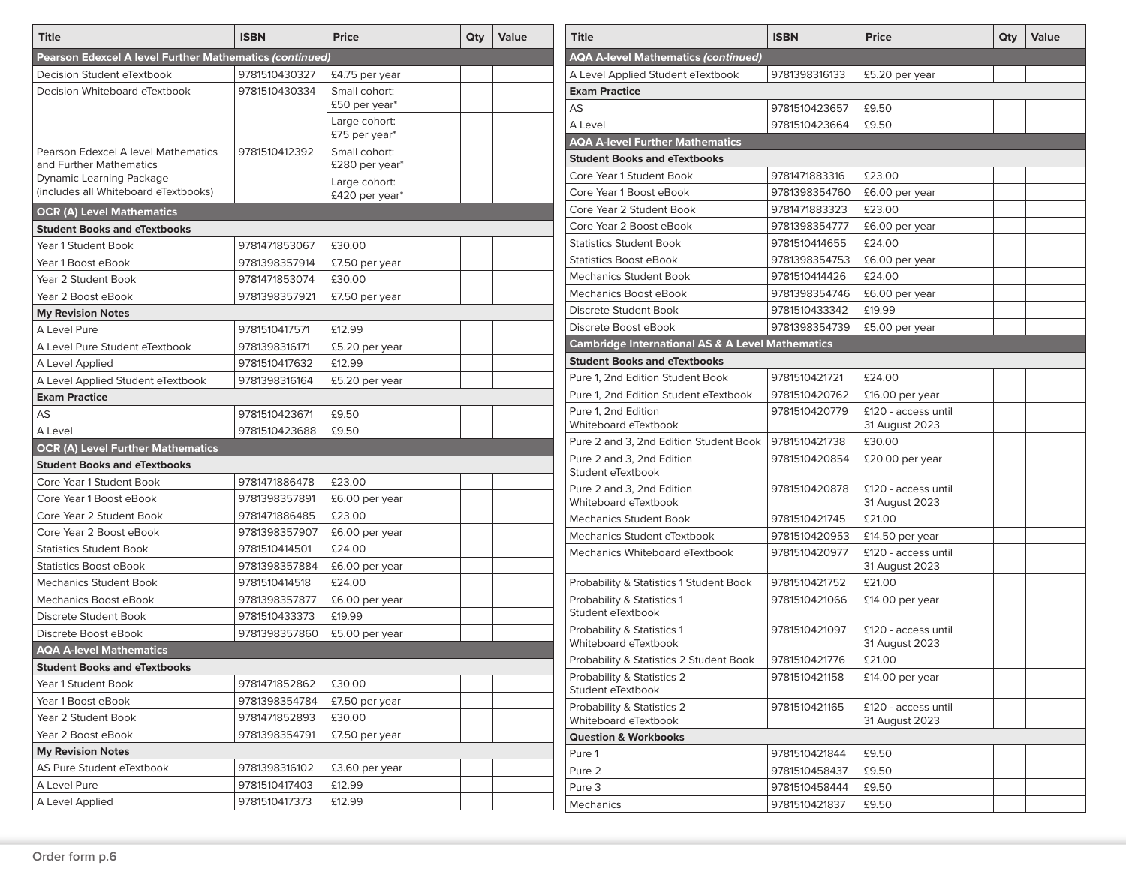| <b>Title</b>                                                   | <b>ISBN</b>   | <b>Price</b>                    | Qty | Value                                      | <b>Title</b>                                                | <b>ISBN</b>   | Price                    | Qty | Value |  |  |  |
|----------------------------------------------------------------|---------------|---------------------------------|-----|--------------------------------------------|-------------------------------------------------------------|---------------|--------------------------|-----|-------|--|--|--|
| Pearson Edexcel A level Further Mathematics (continued)        |               |                                 |     | <b>AQA A-level Mathematics (continued)</b> |                                                             |               |                          |     |       |  |  |  |
| Decision Student eTextbook                                     | 9781510430327 | £4.75 per year                  |     |                                            | A Level Applied Student eTextbook                           | 9781398316133 | £5.20 per year           |     |       |  |  |  |
| Decision Whiteboard eTextbook                                  | 9781510430334 | Small cohort:                   |     |                                            | <b>Exam Practice</b>                                        |               |                          |     |       |  |  |  |
|                                                                |               | £50 per year*                   |     |                                            | AS                                                          | 9781510423657 | £9.50                    |     |       |  |  |  |
|                                                                |               | Large cohort:                   |     |                                            | A Level                                                     | 9781510423664 | £9.50                    |     |       |  |  |  |
|                                                                |               | £75 per year*                   |     |                                            | <b>AQA A-level Further Mathematics</b>                      |               |                          |     |       |  |  |  |
| Pearson Edexcel A level Mathematics<br>and Further Mathematics | 9781510412392 | Small cohort:<br>£280 per year* |     |                                            | <b>Student Books and eTextbooks</b>                         |               |                          |     |       |  |  |  |
| <b>Dynamic Learning Package</b>                                |               | Large cohort:                   |     |                                            | Core Year 1 Student Book                                    | 9781471883316 | £23.00                   |     |       |  |  |  |
| (includes all Whiteboard eTextbooks)                           |               | £420 per year*                  |     |                                            | Core Year 1 Boost eBook                                     | 9781398354760 | £6.00 per year           |     |       |  |  |  |
| <b>OCR (A) Level Mathematics</b>                               |               |                                 |     |                                            | Core Year 2 Student Book                                    | 9781471883323 | £23.00                   |     |       |  |  |  |
| <b>Student Books and eTextbooks</b>                            |               |                                 |     |                                            | Core Year 2 Boost eBook                                     | 9781398354777 | £6.00 per year           |     |       |  |  |  |
| Year 1 Student Book                                            | 9781471853067 | £30.00                          |     |                                            | <b>Statistics Student Book</b>                              | 9781510414655 | £24.00                   |     |       |  |  |  |
| Year 1 Boost eBook                                             | 9781398357914 | £7.50 per year                  |     |                                            | <b>Statistics Boost eBook</b>                               | 9781398354753 | £6.00 per year           |     |       |  |  |  |
| Year 2 Student Book                                            | 9781471853074 | £30.00                          |     |                                            | <b>Mechanics Student Book</b>                               | 9781510414426 | £24.00                   |     |       |  |  |  |
| Year 2 Boost eBook                                             | 9781398357921 | £7.50 per year                  |     |                                            | Mechanics Boost eBook                                       | 9781398354746 | £6.00 per year           |     |       |  |  |  |
| <b>My Revision Notes</b>                                       |               |                                 |     |                                            | Discrete Student Book                                       | 9781510433342 | £19.99                   |     |       |  |  |  |
| A Level Pure                                                   | 9781510417571 | £12.99                          |     |                                            | Discrete Boost eBook                                        | 9781398354739 | £5.00 per year           |     |       |  |  |  |
| A Level Pure Student eTextbook                                 | 9781398316171 | £5.20 per year                  |     |                                            | <b>Cambridge International AS &amp; A Level Mathematics</b> |               |                          |     |       |  |  |  |
| A Level Applied                                                | 9781510417632 | £12.99                          |     |                                            | <b>Student Books and eTextbooks</b>                         |               |                          |     |       |  |  |  |
| A Level Applied Student eTextbook                              | 9781398316164 | £5.20 per year                  |     |                                            | Pure 1, 2nd Edition Student Book                            | 9781510421721 | £24.00                   |     |       |  |  |  |
| <b>Exam Practice</b>                                           |               |                                 |     |                                            | Pure 1, 2nd Edition Student eTextbook                       | 9781510420762 | £16.00 per year          |     |       |  |  |  |
| AS                                                             | 9781510423671 | £9.50                           |     |                                            | Pure 1, 2nd Edition                                         | 9781510420779 | £120 - access until      |     |       |  |  |  |
| A Level                                                        | 9781510423688 | £9.50                           |     |                                            | Whiteboard eTextbook                                        |               | 31 August 2023           |     |       |  |  |  |
| <b>OCR (A) Level Further Mathematics</b>                       |               |                                 |     | Pure 2 and 3, 2nd Edition Student Book     | 9781510421738                                               | £30.00        |                          |     |       |  |  |  |
| <b>Student Books and eTextbooks</b>                            |               |                                 |     |                                            | Pure 2 and 3, 2nd Edition<br>Student eTextbook              | 9781510420854 | £20.00 per year          |     |       |  |  |  |
| Core Year 1 Student Book                                       | 9781471886478 | £23.00                          |     |                                            | Pure 2 and 3, 2nd Edition                                   | 9781510420878 | £120 - access until      |     |       |  |  |  |
| Core Year 1 Boost eBook                                        | 9781398357891 | £6.00 per year                  |     |                                            | Whiteboard eTextbook                                        |               | 31 August 2023           |     |       |  |  |  |
| Core Year 2 Student Book                                       | 9781471886485 | £23.00                          |     |                                            | <b>Mechanics Student Book</b>                               | 9781510421745 | £21.00                   |     |       |  |  |  |
| Core Year 2 Boost eBook                                        | 9781398357907 | £6.00 per year                  |     |                                            | Mechanics Student eTextbook                                 | 9781510420953 | £14.50 per year          |     |       |  |  |  |
| <b>Statistics Student Book</b>                                 | 9781510414501 | £24.00                          |     |                                            | Mechanics Whiteboard eTextbook                              | 9781510420977 | £120 - access until      |     |       |  |  |  |
| <b>Statistics Boost eBook</b>                                  | 9781398357884 | £6.00 per year                  |     |                                            |                                                             |               | 31 August 2023           |     |       |  |  |  |
| <b>Mechanics Student Book</b>                                  | 9781510414518 | £24.00                          |     |                                            | Probability & Statistics 1 Student Book                     | 9781510421752 | £21.00                   |     |       |  |  |  |
| Mechanics Boost eBook                                          | 9781398357877 | £6.00 per year                  |     |                                            | Probability & Statistics 1                                  | 9781510421066 | £14.00 per year          |     |       |  |  |  |
| Discrete Student Book                                          | 9781510433373 | £19.99                          |     |                                            | Student eTextbook                                           |               |                          |     |       |  |  |  |
| Discrete Boost eBook                                           | 9781398357860 | £5.00 per year                  |     |                                            | Probability & Statistics 1<br>Whiteboard eTextbook          | 9781510421097 | £120 - access until      |     |       |  |  |  |
| <b>AQA A-level Mathematics</b>                                 |               |                                 |     |                                            | Probability & Statistics 2 Student Book                     | 9781510421776 | 31 August 2023<br>£21.00 |     |       |  |  |  |
| <b>Student Books and eTextbooks</b>                            |               |                                 |     |                                            | Probability & Statistics 2                                  | 9781510421158 | £14.00 per year          |     |       |  |  |  |
| Year 1 Student Book                                            | 9781471852862 | £30.00                          |     |                                            | Student eTextbook                                           |               |                          |     |       |  |  |  |
| Year 1 Boost eBook                                             | 9781398354784 | £7.50 per year                  |     |                                            | Probability & Statistics 2                                  | 9781510421165 | £120 - access until      |     |       |  |  |  |
| Year 2 Student Book                                            | 9781471852893 | £30.00                          |     |                                            | Whiteboard eTextbook                                        |               | 31 August 2023           |     |       |  |  |  |
| Year 2 Boost eBook                                             | 9781398354791 | £7.50 per year                  |     |                                            | <b>Question &amp; Workbooks</b>                             |               |                          |     |       |  |  |  |
| <b>My Revision Notes</b>                                       |               |                                 |     |                                            | Pure 1                                                      | 9781510421844 | £9.50                    |     |       |  |  |  |
| AS Pure Student eTextbook                                      | 9781398316102 | £3.60 per year                  |     |                                            | Pure 2                                                      | 9781510458437 | £9.50                    |     |       |  |  |  |
| A Level Pure                                                   | 9781510417403 | £12.99                          |     |                                            | Pure 3                                                      | 9781510458444 | £9.50                    |     |       |  |  |  |
| A Level Applied                                                | 9781510417373 | £12.99                          |     |                                            | Mechanics                                                   | 9781510421837 | £9.50                    |     |       |  |  |  |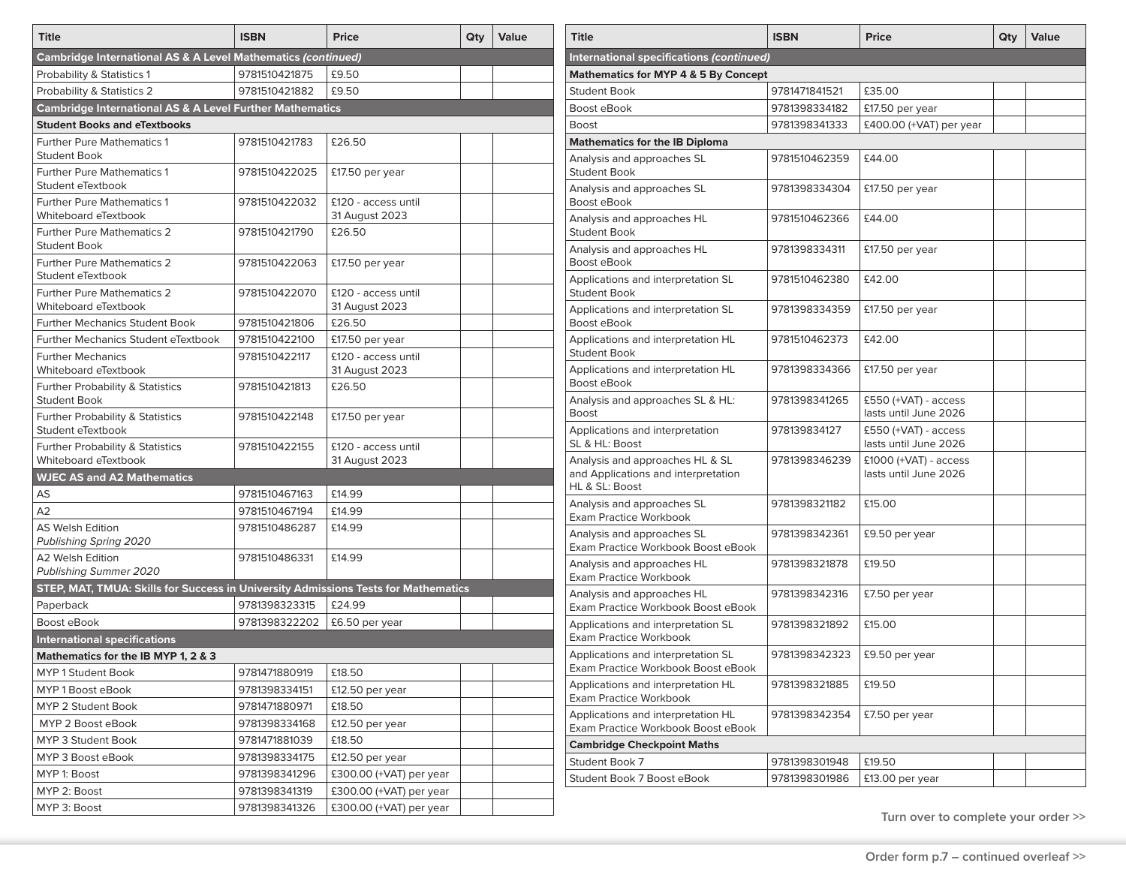| <b>Title</b>                                                                       | <b>ISBN</b>   | <b>Price</b>                          | Qty | Value |
|------------------------------------------------------------------------------------|---------------|---------------------------------------|-----|-------|
| <b>Cambridge International AS &amp; A Level Mathematics (continued)</b>            |               |                                       |     |       |
| Probability & Statistics 1                                                         | 9781510421875 | £9.50                                 |     |       |
| Probability & Statistics 2                                                         | 9781510421882 | £9.50                                 |     |       |
| <b>Cambridge International AS &amp; A Level Further Mathematics</b>                |               |                                       |     |       |
| <b>Student Books and eTextbooks</b>                                                |               |                                       |     |       |
| <b>Further Pure Mathematics 1</b><br><b>Student Book</b>                           | 9781510421783 | £26.50                                |     |       |
| <b>Further Pure Mathematics 1</b><br>Student eTextbook                             | 9781510422025 | £17.50 per year                       |     |       |
| <b>Further Pure Mathematics 1</b><br>Whiteboard eTextbook                          | 9781510422032 | £120 - access until<br>31 August 2023 |     |       |
| <b>Further Pure Mathematics 2</b><br><b>Student Book</b>                           | 9781510421790 | £26.50                                |     |       |
| <b>Further Pure Mathematics 2</b><br>Student eTextbook                             | 9781510422063 | £17.50 per year                       |     |       |
| <b>Further Pure Mathematics 2</b><br>Whiteboard eTextbook                          | 9781510422070 | £120 - access until<br>31 August 2023 |     |       |
| <b>Further Mechanics Student Book</b>                                              | 9781510421806 | £26.50                                |     |       |
| <b>Further Mechanics Student eTextbook</b>                                         | 9781510422100 | £17.50 per year                       |     |       |
| <b>Further Mechanics</b><br>Whiteboard eTextbook                                   | 9781510422117 | £120 - access until<br>31 August 2023 |     |       |
| Further Probability & Statistics<br><b>Student Book</b>                            | 9781510421813 | £26.50                                |     |       |
| <b>Further Probability &amp; Statistics</b><br>Student eTextbook                   | 9781510422148 | £17.50 per year                       |     |       |
| <b>Further Probability &amp; Statistics</b><br>Whiteboard eTextbook                | 9781510422155 | £120 - access until<br>31 August 2023 |     |       |
| <b>WJEC AS and A2 Mathematics</b>                                                  |               |                                       |     |       |
| AS                                                                                 | 9781510467163 | £14.99                                |     |       |
| A2                                                                                 | 9781510467194 | £14.99                                |     |       |
| <b>AS Welsh Edition</b><br>Publishing Spring 2020                                  | 9781510486287 | £14.99                                |     |       |
| A2 Welsh Edition<br>Publishing Summer 2020                                         | 9781510486331 | £14.99                                |     |       |
| STEP, MAT, TMUA: Skills for Success in University Admissions Tests for Mathematics |               |                                       |     |       |
| Paperback                                                                          | 9781398323315 | £24.99                                |     |       |
| Boost eBook                                                                        | 9781398322202 | £6.50 per year                        |     |       |
| <b>International specifications</b>                                                |               |                                       |     |       |
| Mathematics for the IB MYP 1, 2 & 3                                                |               |                                       |     |       |
| <b>MYP 1 Student Book</b>                                                          | 9781471880919 | £18.50                                |     |       |
| MYP 1 Boost eBook                                                                  | 9781398334151 | £12.50 per year                       |     |       |
| MYP 2 Student Book                                                                 | 9781471880971 | £18.50                                |     |       |
| MYP 2 Boost eBook                                                                  | 9781398334168 | £12.50 per year                       |     |       |
| MYP 3 Student Book                                                                 | 9781471881039 | £18.50                                |     |       |
| MYP 3 Boost eBook                                                                  | 9781398334175 | £12.50 per year                       |     |       |
| MYP 1: Boost                                                                       | 9781398341296 | £300.00 (+VAT) per year               |     |       |
| MYP 2: Boost                                                                       | 9781398341319 | £300.00 (+VAT) per year               |     |       |
| MYP 3: Boost                                                                       | 9781398341326 | £300.00 (+VAT) per year               |     |       |

| <b>Title</b>                                                                             | <b>ISBN</b>   | <b>Price</b>                                   | Qty | Value |
|------------------------------------------------------------------------------------------|---------------|------------------------------------------------|-----|-------|
| International specifications <i>(continued)</i>                                          |               |                                                |     |       |
| <b>Mathematics for MYP 4 &amp; 5 By Concept</b>                                          |               |                                                |     |       |
| <b>Student Book</b>                                                                      | 9781471841521 | £35.00                                         |     |       |
| Boost eBook                                                                              | 9781398334182 | £17.50 per year                                |     |       |
| Boost                                                                                    | 9781398341333 | £400.00 (+VAT) per year                        |     |       |
| <b>Mathematics for the IB Diploma</b>                                                    |               |                                                |     |       |
| Analysis and approaches SL<br><b>Student Book</b>                                        | 9781510462359 | £44.00                                         |     |       |
| Analysis and approaches SL<br>Boost eBook                                                | 9781398334304 | £17.50 per year                                |     |       |
| Analysis and approaches HL<br>Student Book                                               | 9781510462366 | £44.00                                         |     |       |
| Analysis and approaches HL<br>Boost eBook                                                | 9781398334311 | £17.50 per year                                |     |       |
| Applications and interpretation SL<br><b>Student Book</b>                                | 9781510462380 | £42.00                                         |     |       |
| Applications and interpretation SL<br><b>Boost eBook</b>                                 | 9781398334359 | £17.50 per year                                |     |       |
| Applications and interpretation HL<br><b>Student Book</b>                                | 9781510462373 | £42.00                                         |     |       |
| Applications and interpretation HL<br>Boost eBook                                        | 9781398334366 | £17.50 per year                                |     |       |
| Analysis and approaches SL & HL:<br>Boost                                                | 9781398341265 | £550 (+VAT) - access<br>lasts until June 2026  |     |       |
| Applications and interpretation<br>SL & HL: Boost                                        | 978139834127  | £550 (+VAT) - access<br>lasts until June 2026  |     |       |
| Analysis and approaches HL & SL<br>and Applications and interpretation<br>HL & SL: Boost | 9781398346239 | £1000 (+VAT) - access<br>lasts until June 2026 |     |       |
| Analysis and approaches SL<br><b>Exam Practice Workbook</b>                              | 9781398321182 | £15.00                                         |     |       |
| Analysis and approaches SL<br>Exam Practice Workbook Boost eBook                         | 9781398342361 | £9.50 per year                                 |     |       |
| Analysis and approaches HL<br><b>Exam Practice Workbook</b>                              | 9781398321878 | £19.50                                         |     |       |
| Analysis and approaches HL<br>Exam Practice Workbook Boost eBook                         | 9781398342316 | £7.50 per year                                 |     |       |
| Applications and interpretation SL<br><b>Exam Practice Workbook</b>                      | 9781398321892 | £15.00                                         |     |       |
| Applications and interpretation SL<br>Exam Practice Workbook Boost eBook                 | 9781398342323 | £9.50 per year                                 |     |       |
| Applications and interpretation HL<br>Exam Practice Workbook                             | 9781398321885 | £19.50                                         |     |       |
| Applications and interpretation HL<br>Exam Practice Workbook Boost eBook                 | 9781398342354 | £7.50 per year                                 |     |       |
| <b>Cambridge Checkpoint Maths</b>                                                        |               |                                                |     |       |
| Student Book 7                                                                           | 9781398301948 | £19.50                                         |     |       |
| Student Book 7 Boost eBook                                                               | 9781398301986 | £13.00 per year                                |     |       |

**Turn over to complete your order >>**